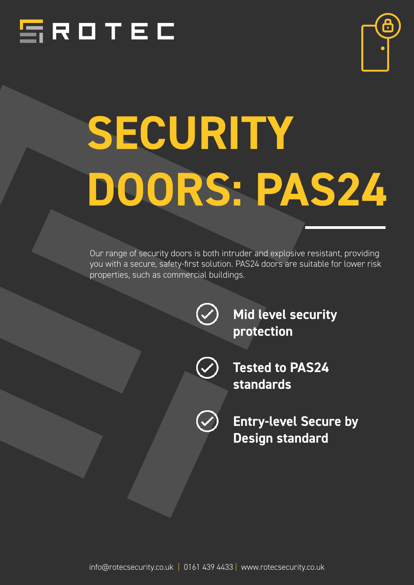



# *SECURITY DOORS: PAS24*

Our range of security doors is both intruder and explosive resistant, providing you with a secure, safety-first solution. PAS24 doors are suitable for lower risk properties, such as commercial buildings.